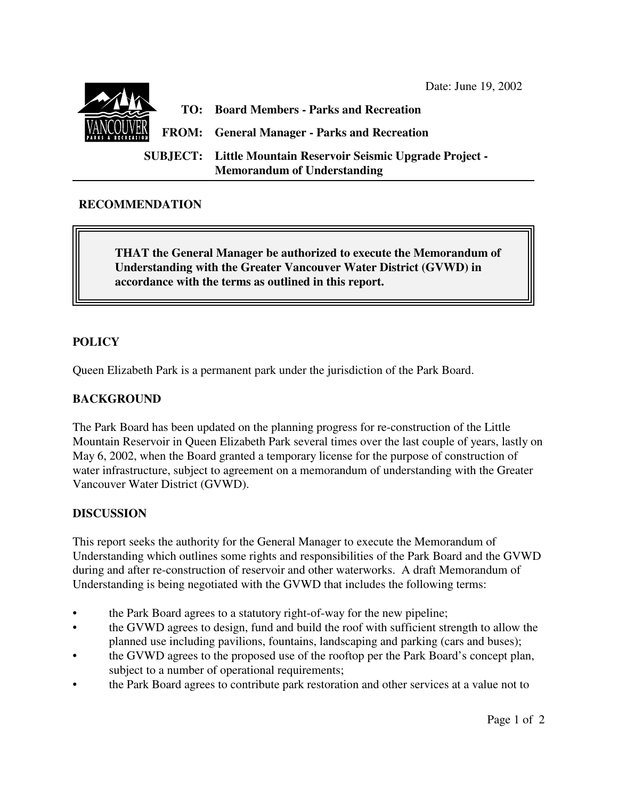Date: June 19, 2002



## **RECOMMENDATION**

**THAT the General Manager be authorized to execute the Memorandum of Understanding with the Greater Vancouver Water District (GVWD) in accordance with the terms as outlined in this report.**

## **POLICY**

Queen Elizabeth Park is a permanent park under the jurisdiction of the Park Board.

## **BACKGROUND**

The Park Board has been updated on the planning progress for re-construction of the Little Mountain Reservoir in Queen Elizabeth Park several times over the last couple of years, lastly on May 6, 2002, when the Board granted a temporary license for the purpose of construction of water infrastructure, subject to agreement on a memorandum of understanding with the Greater Vancouver Water District (GVWD).

## **DISCUSSION**

This report seeks the authority for the General Manager to execute the Memorandum of Understanding which outlines some rights and responsibilities of the Park Board and the GVWD during and after re-construction of reservoir and other waterworks. A draft Memorandum of Understanding is being negotiated with the GVWD that includes the following terms:

- the Park Board agrees to a statutory right-of-way for the new pipeline;
- the GVWD agrees to design, fund and build the roof with sufficient strength to allow the planned use including pavilions, fountains, landscaping and parking (cars and buses);
- the GVWD agrees to the proposed use of the rooftop per the Park Board's concept plan, subject to a number of operational requirements;
- the Park Board agrees to contribute park restoration and other services at a value not to